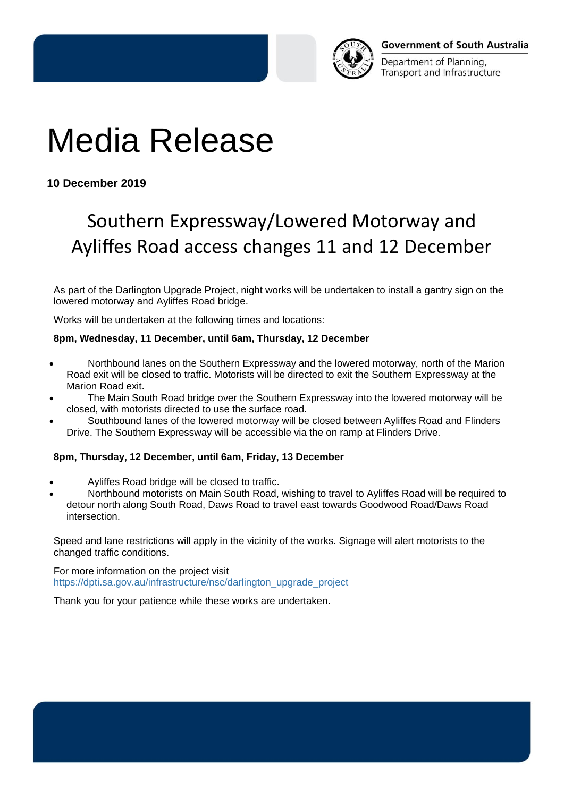

Department of Planning, Transport and Infrastructure

## Media Release

**10 December 2019**

## Southern Expressway/Lowered Motorway and Ayliffes Road access changes 11 and 12 December

As part of the Darlington Upgrade Project, night works will be undertaken to install a gantry sign on the lowered motorway and Ayliffes Road bridge.

Works will be undertaken at the following times and locations:

## **8pm, Wednesday, 11 December, until 6am, Thursday, 12 December**

- Northbound lanes on the Southern Expressway and the lowered motorway, north of the Marion Road exit will be closed to traffic. Motorists will be directed to exit the Southern Expressway at the Marion Road exit.
- The Main South Road bridge over the Southern Expressway into the lowered motorway will be closed, with motorists directed to use the surface road.
- Southbound lanes of the lowered motorway will be closed between Ayliffes Road and Flinders Drive. The Southern Expressway will be accessible via the on ramp at Flinders Drive.

## **8pm, Thursday, 12 December, until 6am, Friday, 13 December**

- Ayliffes Road bridge will be closed to traffic.
- Northbound motorists on Main South Road, wishing to travel to Ayliffes Road will be required to detour north along South Road, Daws Road to travel east towards Goodwood Road/Daws Road intersection.

Speed and lane restrictions will apply in the vicinity of the works. Signage will alert motorists to the changed traffic conditions.

For more information on the project visit [https://dpti.sa.gov.au/infrastructure/nsc/darlington\\_upgrade\\_project](https://dpti.sa.gov.au/infrastructure/nsc/darlington_upgrade_project)

Thank you for your patience while these works are undertaken.